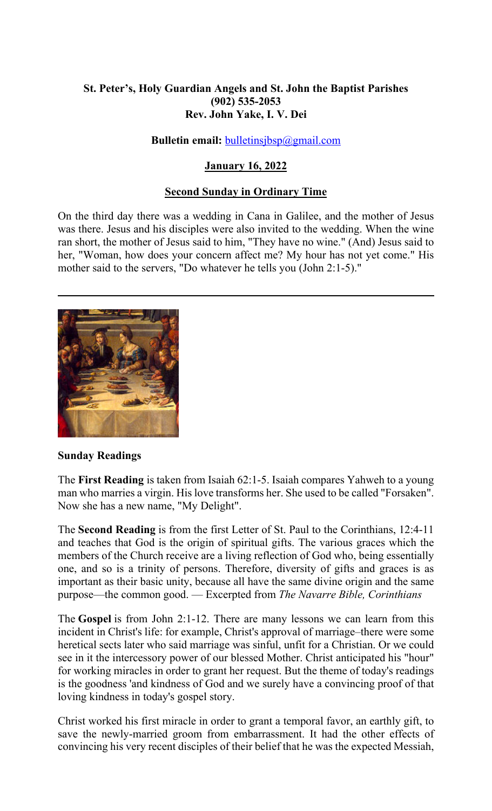# **St. Peter's, Holy Guardian Angels and St. John the Baptist Parishes (902) 535-2053 Rev. John Yake, I. V. Dei**

### **Bulletin email:** [bulletinsjbsp@gmail.com](mailto:bulletinsjbsp@gmail.com)

# **January 16, 2022**

# **Second Sunday in Ordinary Time**

On the third day there was a wedding in Cana in Galilee, and the mother of Jesus was there. Jesus and his disciples were also invited to the wedding. When the wine ran short, the mother of Jesus said to him, "They have no wine." (And) Jesus said to her, "Woman, how does your concern affect me? My hour has not yet come." His mother said to the servers, "Do whatever he tells you (John 2:1-5)."



### **Sunday Readings**

The **First Reading** is taken from Isaiah 62:1-5. Isaiah compares Yahweh to a young man who marries a virgin. His love transforms her. She used to be called "Forsaken". Now she has a new name, "My Delight".

The **Second Reading** is from the first Letter of St. Paul to the Corinthians, 12:4-11 and teaches that God is the origin of spiritual gifts. The various graces which the members of the Church receive are a living reflection of God who, being essentially one, and so is a trinity of persons. Therefore, diversity of gifts and graces is as important as their basic unity, because all have the same divine origin and the same purpose—the common good. — Excerpted from *The Navarre Bible, Corinthians*

The **Gospel** is from John 2:1-12. There are many lessons we can learn from this incident in Christ's life: for example, Christ's approval of marriage–there were some heretical sects later who said marriage was sinful, unfit for a Christian. Or we could see in it the intercessory power of our blessed Mother. Christ anticipated his "hour" for working miracles in order to grant her request. But the theme of today's readings is the goodness 'and kindness of God and we surely have a convincing proof of that loving kindness in today's gospel story.

Christ worked his first miracle in order to grant a temporal favor, an earthly gift, to save the newly-married groom from embarrassment. It had the other effects of convincing his very recent disciples of their belief that he was the expected Messiah,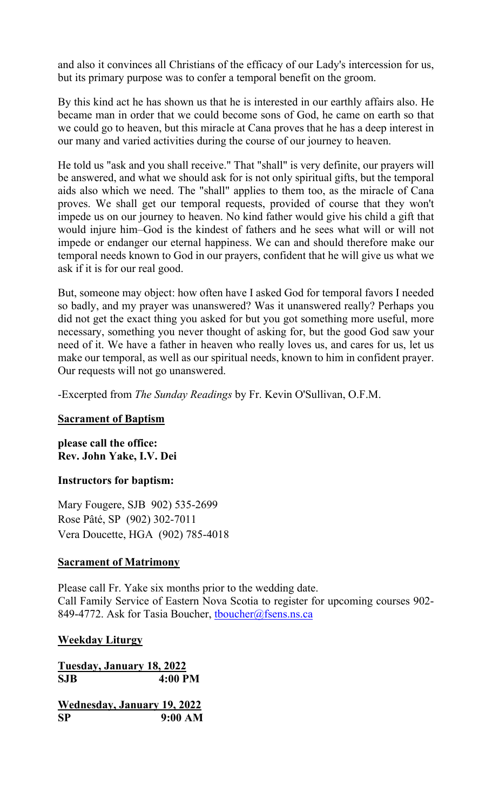and also it convinces all Christians of the efficacy of our Lady's intercession for us, but its primary purpose was to confer a temporal benefit on the groom.

By this kind act he has shown us that he is interested in our earthly affairs also. He became man in order that we could become sons of God, he came on earth so that we could go to heaven, but this miracle at Cana proves that he has a deep interest in our many and varied activities during the course of our journey to heaven.

He told us "ask and you shall receive." That "shall" is very definite, our prayers will be answered, and what we should ask for is not only spiritual gifts, but the temporal aids also which we need. The "shall" applies to them too, as the miracle of Cana proves. We shall get our temporal requests, provided of course that they won't impede us on our journey to heaven. No kind father would give his child a gift that would injure him–God is the kindest of fathers and he sees what will or will not impede or endanger our eternal happiness. We can and should therefore make our temporal needs known to God in our prayers, confident that he will give us what we ask if it is for our real good.

But, someone may object: how often have I asked God for temporal favors I needed so badly, and my prayer was unanswered? Was it unanswered really? Perhaps you did not get the exact thing you asked for but you got something more useful, more necessary, something you never thought of asking for, but the good God saw your need of it. We have a father in heaven who really loves us, and cares for us, let us make our temporal, as well as our spiritual needs, known to him in confident prayer. Our requests will not go unanswered.

-Excerpted from *The Sunday Readings* by Fr. Kevin O'Sullivan, O.F.M.

### **Sacrament of Baptism**

**please call the office: Rev. John Yake, I.V. Dei** 

### **Instructors for baptism:**

Mary Fougere, SJB 902) 535-2699 Rose Pâté, SP (902) 302-7011 Vera Doucette, HGA (902) 785-4018

### **Sacrament of Matrimony**

Please call Fr. Yake six months prior to the wedding date. Call Family Service of Eastern Nova Scotia to register for upcoming courses 902- 849-4772. Ask for Tasia Boucher, thoucher@fsens.ns.ca

### **Weekday Liturgy**

**Tuesday, January 18, 2022 SJB 4:00 PM**

**Wednesday, January 19, 2022 SP 9:00 AM**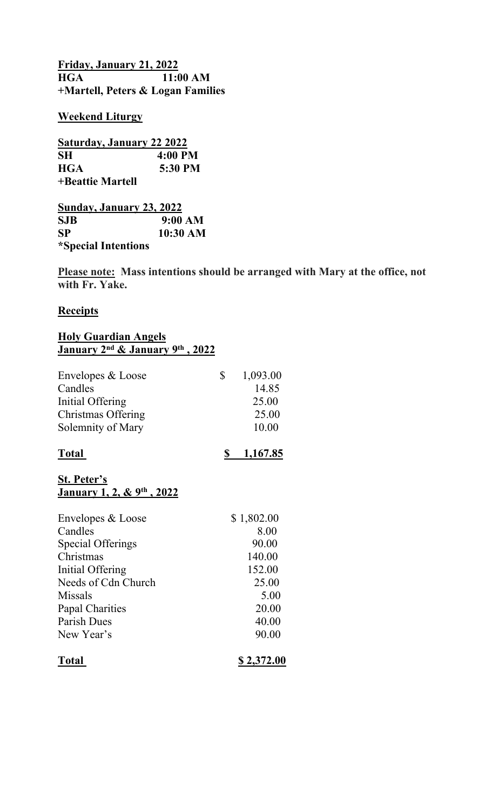**Friday, January 21, 2022 H** $11:00$  AM **+Martell, Peters & Logan Families**

#### **Weekend Liturgy**

| Saturday, January 22 2022 |           |
|---------------------------|-----------|
| <b>SH</b>                 | $4:00$ PM |
| <b>HGA</b>                | 5:30 PM   |
| +Beattie Martell          |           |

| Sunday, January 23, 2022   |          |
|----------------------------|----------|
| <b>SJB</b>                 | 9:00 AM  |
| <b>SP</b>                  | 10:30 AM |
| <i>*Special Intentions</i> |          |

**Please note: Mass intentions should be arranged with Mary at the office, not with Fr. Yake.** 

#### **Receipts**

#### **Holy Guardian Angels January 2nd & January 9th , 2022**

| Envelopes & Loose  | 1,093.00 |
|--------------------|----------|
| Candles            | 14.85    |
| Initial Offering   | 25.00    |
| Christmas Offering | 25.00    |
| Solemnity of Mary  | 10.00    |
|                    |          |

| 1,167.85 |
|----------|
|          |

### **St. Peter's January 1, 2, & 9th , 2022**

| Envelopes & Loose        | \$1,802.00 |
|--------------------------|------------|
| Candles                  | 8.00       |
| <b>Special Offerings</b> | 90.00      |
| Christmas                | 140.00     |
| Initial Offering         | 152.00     |
| Needs of Cdn Church      | 25.00      |
| Missals                  | 5.00       |
| <b>Papal Charities</b>   | 20.00      |
| Parish Dues              | 40.00      |
| New Year's               | 90.00      |
| <b>Total</b>             | \$2,372.00 |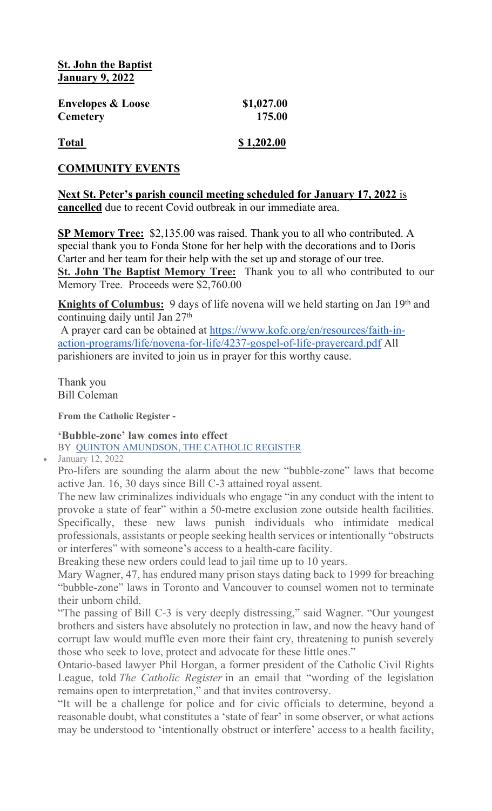**St. John the Baptist January 9, 2022**

| <b>Envelopes &amp; Loose</b> | \$1,027.00 |
|------------------------------|------------|
| <b>Cemetery</b>              | 175.00     |
| <b>Total</b>                 | \$1,202.00 |

# **COMMUNITY EVENTS**

### **Next St. Peter's parish council meeting scheduled for January 17, 2022** is **cancelled** due to recent Covid outbreak in our immediate area.

**SP Memory Tree:** \$2,135.00 was raised. Thank you to all who contributed. A special thank you to Fonda Stone for her help with the decorations and to Doris Carter and her team for their help with the set up and storage of our tree. **St. John The Baptist Memory Tree:** Thank you to all who contributed to our Memory Tree. Proceeds were \$2,760.00

**Knights of Columbus:** 9 days of life novena will we held starting on Jan 19<sup>th</sup> and continuing daily until Jan 27th

 A prayer card can be obtained at [https://www.kofc.org/en/resources/faith-in](https://www.kofc.org/en/resources/faith-in-action-programs/life/novena-for-life/4237-gospel-of-life-prayercard.pdf)[action-programs/life/novena-for-life/4237-gospel-of-life-prayercard.pdf](https://www.kofc.org/en/resources/faith-in-action-programs/life/novena-for-life/4237-gospel-of-life-prayercard.pdf) All parishioners are invited to join us in prayer for this worthy cause.

Thank you Bill Coleman

**From the Catholic Register -**

**'Bubble-zone' law comes into effect** BY [QUINTON AMUNDSON, THE CATHOLIC REGISTER](https://www.catholicregister.org/itemlist/user/8327-quintonamundsonthecatholicregister)

January 12, 2022

Pro-lifers are sounding the alarm about the new "bubble-zone" laws that become active Jan. 16, 30 days since Bill C-3 attained royal assent.

The new law criminalizes individuals who engage "in any conduct with the intent to provoke a state of fear" within a 50-metre exclusion zone outside health facilities. Specifically, these new laws punish individuals who intimidate medical professionals, assistants or people seeking health services or intentionally "obstructs or interferes" with someone's access to a health-care facility.

Breaking these new orders could lead to jail time up to 10 years.

Mary Wagner, 47, has endured many prison stays dating back to 1999 for breaching "bubble-zone" laws in Toronto and Vancouver to counsel women not to terminate their unborn child.

"The passing of Bill C-3 is very deeply distressing," said Wagner. "Our youngest brothers and sisters have absolutely no protection in law, and now the heavy hand of corrupt law would muffle even more their faint cry, threatening to punish severely those who seek to love, protect and advocate for these little ones."

Ontario-based lawyer Phil Horgan, a former president of the Catholic Civil Rights League, told *The Catholic Register* in an email that "wording of the legislation remains open to interpretation," and that invites controversy.

"It will be a challenge for police and for civic officials to determine, beyond a reasonable doubt, what constitutes a 'state of fear' in some observer, or what actions may be understood to 'intentionally obstruct or interfere' access to a health facility,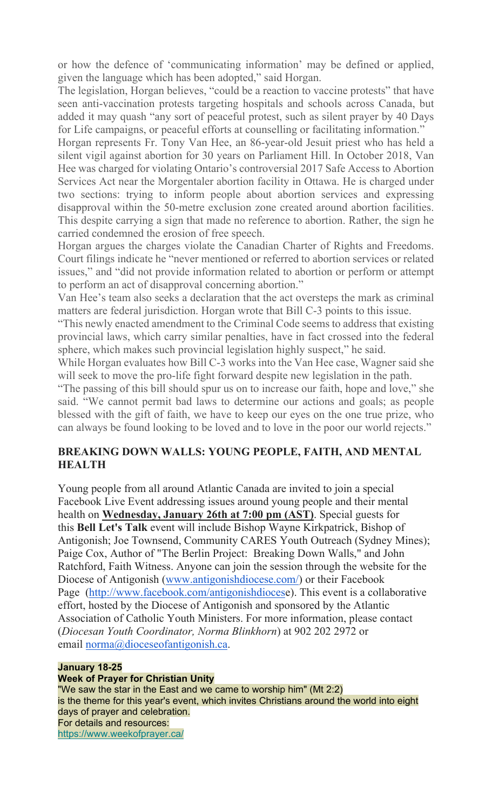or how the defence of 'communicating information' may be defined or applied, given the language which has been adopted," said Horgan.

The legislation, Horgan believes, "could be a reaction to vaccine protests" that have seen anti-vaccination protests targeting hospitals and schools across Canada, but added it may quash "any sort of peaceful protest, such as silent prayer by 40 Days for Life campaigns, or peaceful efforts at counselling or facilitating information."

Horgan represents Fr. Tony Van Hee, an 86-year-old Jesuit priest who has held a silent vigil against abortion for 30 years on Parliament Hill. In October 2018, Van Hee was charged for violating Ontario's controversial 2017 Safe Access to Abortion Services Act near the Morgentaler abortion facility in Ottawa. He is charged under two sections: trying to inform people about abortion services and expressing disapproval within the 50-metre exclusion zone created around abortion facilities. This despite carrying a sign that made no reference to abortion. Rather, the sign he carried condemned the erosion of free speech.

Horgan argues the charges violate the Canadian Charter of Rights and Freedoms. Court filings indicate he "never mentioned or referred to abortion services or related issues," and "did not provide information related to abortion or perform or attempt to perform an act of disapproval concerning abortion."

Van Hee's team also seeks a declaration that the act oversteps the mark as criminal matters are federal jurisdiction. Horgan wrote that Bill C-3 points to this issue.

"This newly enacted amendment to the Criminal Code seems to address that existing provincial laws, which carry similar penalties, have in fact crossed into the federal sphere, which makes such provincial legislation highly suspect," he said.

While Horgan evaluates how Bill C-3 works into the Van Hee case, Wagner said she will seek to move the pro-life fight forward despite new legislation in the path.

"The passing of this bill should spur us on to increase our faith, hope and love," she said. "We cannot permit bad laws to determine our actions and goals; as people blessed with the gift of faith, we have to keep our eyes on the one true prize, who can always be found looking to be loved and to love in the poor our world rejects."

### **BREAKING DOWN WALLS: YOUNG PEOPLE, FAITH, AND MENTAL HEALTH**

Young people from all around Atlantic Canada are invited to join a special Facebook Live Event addressing issues around young people and their mental health on **Wednesday, January 26th at 7:00 pm (AST)**. Special guests for this **Bell Let's Talk** event will include Bishop Wayne Kirkpatrick, Bishop of Antigonish; Joe Townsend, Community CARES Youth Outreach (Sydney Mines); Paige Cox, Author of "The Berlin Project: Breaking Down Walls," and John Ratchford, Faith Witness. Anyone can join the session through the website for the Diocese of Antigonish [\(www.antigonishdiocese.com/\)](https://www.antigonishdiocese.com/) or their Facebook Page ([http://www.facebook.com/antigonishdioces](http://www.facebook.com/antigonishdiocese)e). This event is a collaborative effort, hosted by the Diocese of Antigonish and sponsored by the Atlantic Association of Catholic Youth Ministers. For more information, please contact (*Diocesan Youth Coordinator, Norma Blinkhorn*) at 902 202 2972 or email [norma@dioceseofantigonish.ca](mailto:norma@dioceseofantigonish.ca).

### **January 18-25**

**Week of Prayer for Christian Unity** "We saw the star in the East and we came to worship him" (Mt 2:2) is the theme for this year's event, which invites Christians around the world into eight days of prayer and celebration. For details and resources: [https://www.weekofprayer.ca/](https://antigonishdiocese.us11.list-manage.com/track/click?u=46108c95b96680ff598b4aa1d&id=53bd48df5a&e=60939d450d)